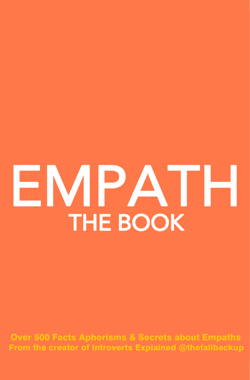

**Over 500 Facts Aphorisms & Secrets about Empaths** From the creator of Introverts Explained @thefallbackup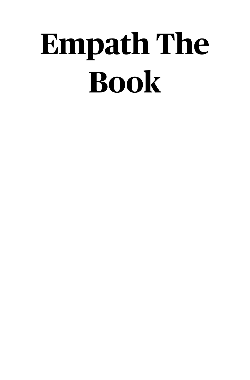# **Empath The Book**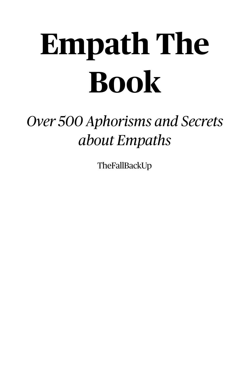# **Empath The Book**

### *Over 500 Aphorisms and Secrets about Empaths*

TheFallBackUp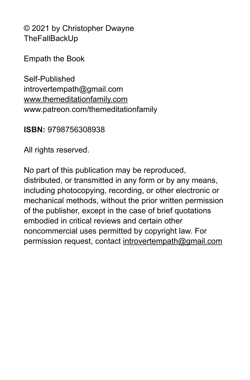© 2021 by Christopher Dwayne **TheFallBackUp** 

Empath the Book

Self-Published introvertempath@gmail.com [www.themeditationfamily.com](http://www.themeditationfamily.com) www.patreon.com/themeditationfamily

**ISBN:** 9798756308938

All rights reserved.

No part of this publication may be reproduced, distributed, or transmitted in any form or by any means, including photocopying, recording, or other electronic or mechanical methods, without the prior written permission of the publisher, except in the case of brief quotations embodied in critical reviews and certain other noncommercial uses permitted by copyright law. For permission request, contact [introvertempath@gmail.com](mailto:womanofthewomb@gmail.com)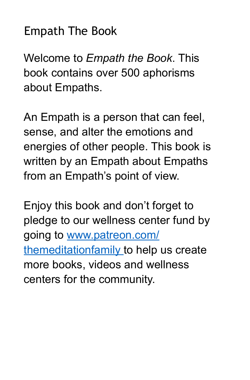#### Empath The Book

Welcome to *Empath the Book*. This book contains over 500 aphorisms about Empaths.

An Empath is a person that can feel, sense, and alter the emotions and energies of other people. This book is written by an Empath about Empaths from an Empath's point of view.

Enjoy this book and don't forget to pledge to our wellness center fund by going to www.patreon.com/ themeditationfamily to help us create more books, videos and wellness centers for the community.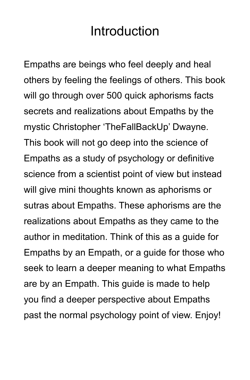#### Introduction

Empaths are beings who feel deeply and heal others by feeling the feelings of others. This book will go through over 500 quick aphorisms facts secrets and realizations about Empaths by the mystic Christopher 'TheFallBackUp' Dwayne. This book will not go deep into the science of Empaths as a study of psychology or definitive science from a scientist point of view but instead will give mini thoughts known as aphorisms or sutras about Empaths. These aphorisms are the realizations about Empaths as they came to the author in meditation. Think of this as a guide for Empaths by an Empath, or a guide for those who seek to learn a deeper meaning to what Empaths are by an Empath. This guide is made to help you find a deeper perspective about Empaths past the normal psychology point of view. Enjoy!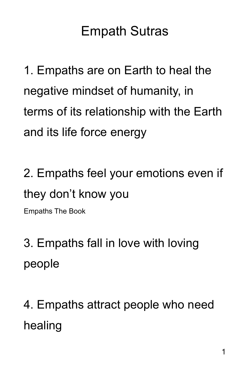### Empath Sutras

1. Empaths are on Earth to heal the negative mindset of humanity, in terms of its relationship with the Earth and its life force energy

2. Empaths feel your emotions even if they don't know you

Empaths The Book

3. Empaths fall in love with loving people

4. Empaths attract people who need healing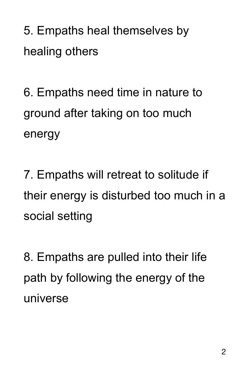5. Empaths heal themselves by healing others

6. Empaths need time in nature to ground after taking on too much energy

7. Empaths will retreat to solitude if their energy is disturbed too much in a social setting

8. Empaths are pulled into their life path by following the energy of the universe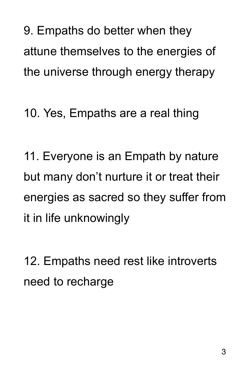9. Empaths do better when they attune themselves to the energies of the universe through energy therapy

10. Yes, Empaths are a real thing

11. Everyone is an Empath by nature but many don't nurture it or treat their energies as sacred so they suffer from it in life unknowingly

12. Empaths need rest like introverts need to recharge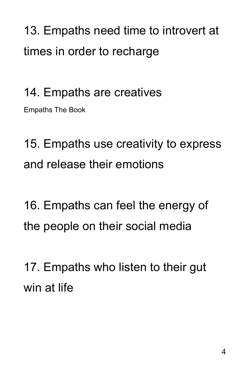13. Empaths need time to introvert at times in order to recharge

#### 14. Empaths are creatives

Empaths The Book

15. Empaths use creativity to express and release their emotions

16. Empaths can feel the energy of the people on their social media

17. Empaths who listen to their gut win at life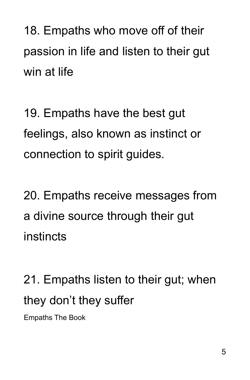18. Empaths who move off of their passion in life and listen to their gut win at life

19. Empaths have the best gut feelings, also known as instinct or connection to spirit guides.

20. Empaths receive messages from a divine source through their gut instincts

21. Empaths listen to their gut; when they don't they suffer

Empaths The Book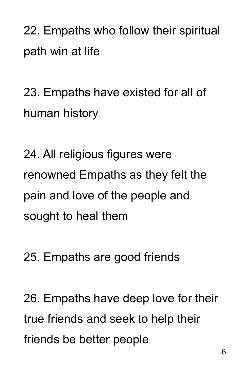22. Empaths who follow their spiritual path win at life

23. Empaths have existed for all of human history

24. All religious figures were renowned Empaths as they felt the pain and love of the people and sought to heal them

25. Empaths are good friends

26. Empaths have deep love for their true friends and seek to help their friends be better people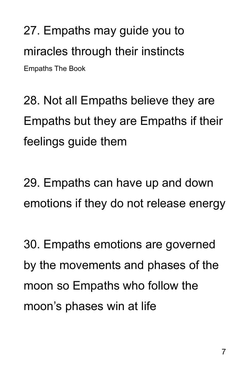27. Empaths may guide you to miracles through their instincts Empaths The Book

28. Not all Empaths believe they are Empaths but they are Empaths if their feelings guide them

29. Empaths can have up and down emotions if they do not release energy

30. Empaths emotions are governed by the movements and phases of the moon so Empaths who follow the moon's phases win at life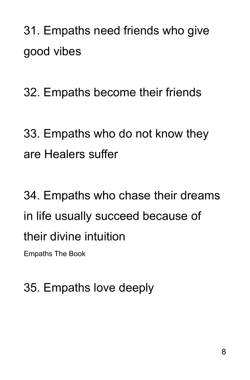31. Empaths need friends who give good vibes

32. Empaths become their friends

33. Empaths who do not know they are Healers suffer

34. Empaths who chase their dreams in life usually succeed because of their divine intuition Empaths The Book

#### 35. Empaths love deeply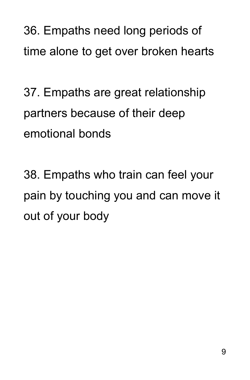36. Empaths need long periods of time alone to get over broken hearts

37. Empaths are great relationship partners because of their deep emotional bonds

38. Empaths who train can feel your pain by touching you and can move it out of your body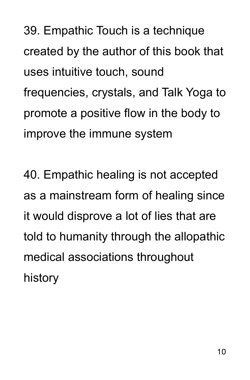39. Empathic Touch is a technique created by the author of this book that uses intuitive touch, sound frequencies, crystals, and Talk Yoga to promote a positive flow in the body to improve the immune system

40. Empathic healing is not accepted as a mainstream form of healing since it would disprove a lot of lies that are told to humanity through the allopathic medical associations throughout history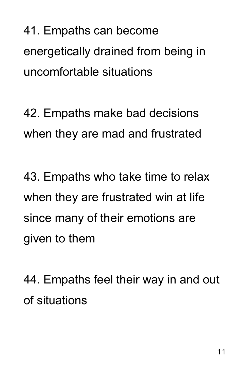41. Empaths can become energetically drained from being in uncomfortable situations

42. Empaths make bad decisions when they are mad and frustrated

43. Empaths who take time to relax when they are frustrated win at life since many of their emotions are given to them

44. Empaths feel their way in and out of situations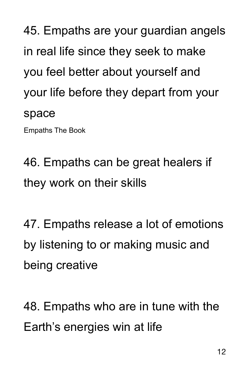45. Empaths are your guardian angels in real life since they seek to make you feel better about yourself and your life before they depart from your space

Empaths The Book

46. Empaths can be great healers if they work on their skills

47. Empaths release a lot of emotions by listening to or making music and being creative

48. Empaths who are in tune with the Earth's energies win at life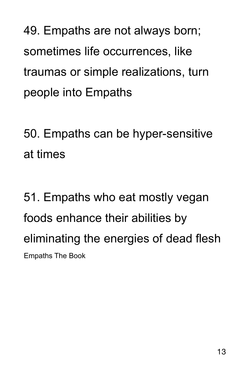49. Empaths are not always born; sometimes life occurrences, like traumas or simple realizations, turn people into Empaths

50. Empaths can be hyper-sensitive at times

51. Empaths who eat mostly vegan foods enhance their abilities by eliminating the energies of dead flesh Empaths The Book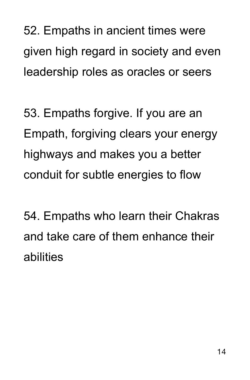52. Empaths in ancient times were given high regard in society and even leadership roles as oracles or seers

53. Empaths forgive. If you are an Empath, forgiving clears your energy highways and makes you a better conduit for subtle energies to flow

54. Empaths who learn their Chakras and take care of them enhance their abilities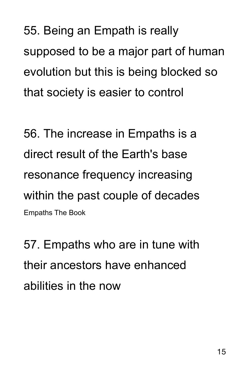55. Being an Empath is really supposed to be a major part of human evolution but this is being blocked so that society is easier to control

56. The increase in Empaths is a direct result of the Earth's base resonance frequency increasing within the past couple of decades Empaths The Book

57. Empaths who are in tune with their ancestors have enhanced abilities in the now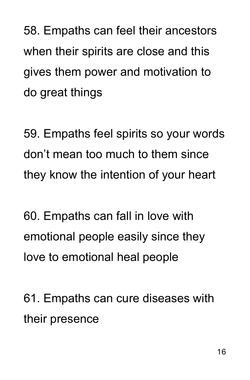58. Empaths can feel their ancestors when their spirits are close and this gives them power and motivation to do great things

59. Empaths feel spirits so your words don't mean too much to them since they know the intention of your heart

60. Empaths can fall in love with emotional people easily since they love to emotional heal people

61. Empaths can cure diseases with their presence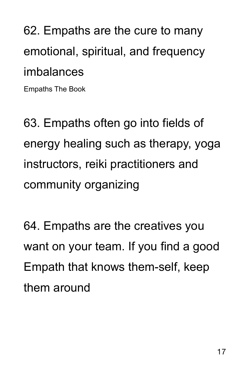62. Empaths are the cure to many emotional, spiritual, and frequency imbalances

Empaths The Book

63. Empaths often go into fields of energy healing such as therapy, yoga instructors, reiki practitioners and community organizing

64. Empaths are the creatives you want on your team. If you find a good Empath that knows them-self, keep them around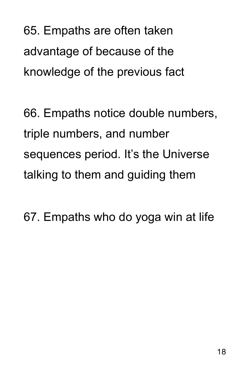65. Empaths are often taken advantage of because of the knowledge of the previous fact

66. Empaths notice double numbers, triple numbers, and number sequences period. It's the Universe talking to them and guiding them

67. Empaths who do yoga win at life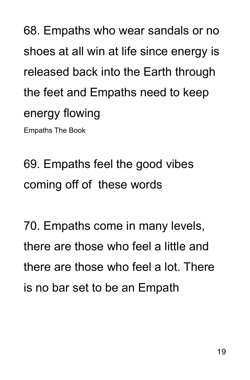68. Empaths who wear sandals or no shoes at all win at life since energy is released back into the Earth through the feet and Empaths need to keep energy flowing Empaths The Book

69. Empaths feel the good vibes coming off of these words

70. Empaths come in many levels, there are those who feel a little and there are those who feel a lot. There is no bar set to be an Empath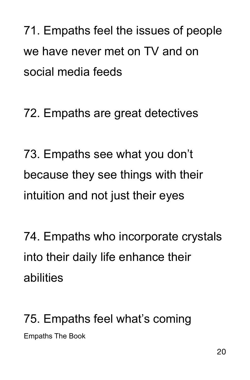71. Empaths feel the issues of people we have never met on TV and on social media feeds

72. Empaths are great detectives

73. Empaths see what you don't because they see things with their intuition and not just their eyes

74. Empaths who incorporate crystals into their daily life enhance their abilities

75. Empaths feel what's coming Empaths The Book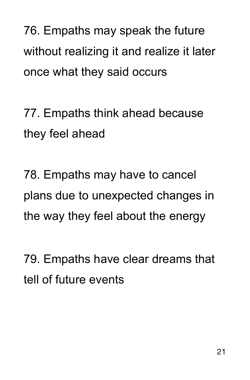76. Empaths may speak the future without realizing it and realize it later once what they said occurs

77. Empaths think ahead because they feel ahead

78. Empaths may have to cancel plans due to unexpected changes in the way they feel about the energy

79. Empaths have clear dreams that tell of future events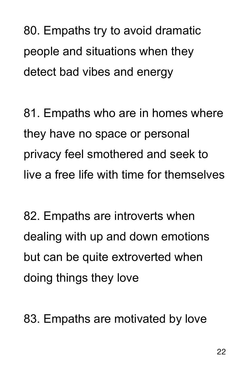80. Empaths try to avoid dramatic people and situations when they detect bad vibes and energy

81. Empaths who are in homes where they have no space or personal privacy feel smothered and seek to live a free life with time for themselves

82. Empaths are introverts when dealing with up and down emotions but can be quite extroverted when doing things they love

83. Empaths are motivated by love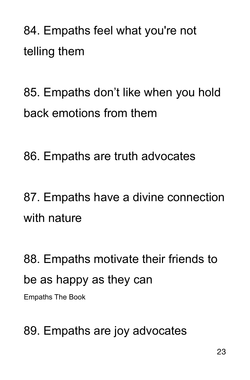84. Empaths feel what you're not telling them

85. Empaths don't like when you hold back emotions from them

86. Empaths are truth advocates

87. Empaths have a divine connection with nature

88. Empaths motivate their friends to be as happy as they can Empaths The Book

89. Empaths are joy advocates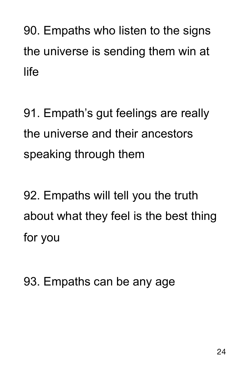90. Empaths who listen to the signs the universe is sending them win at life

91. Empath's gut feelings are really the universe and their ancestors speaking through them

92. Empaths will tell you the truth about what they feel is the best thing for you

93. Empaths can be any age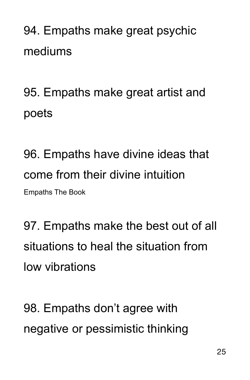94. Empaths make great psychic mediums

95. Empaths make great artist and poets

96. Empaths have divine ideas that come from their divine intuition Empaths The Book

97. Empaths make the best out of all situations to heal the situation from low vibrations

98. Empaths don't agree with negative or pessimistic thinking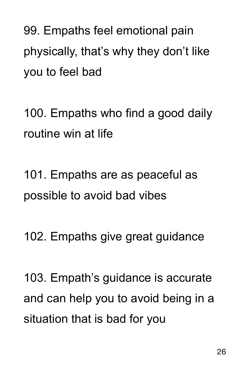99. Empaths feel emotional pain physically, that's why they don't like you to feel bad

100. Empaths who find a good daily routine win at life

101. Empaths are as peaceful as possible to avoid bad vibes

102. Empaths give great guidance

103. Empath's guidance is accurate and can help you to avoid being in a situation that is bad for you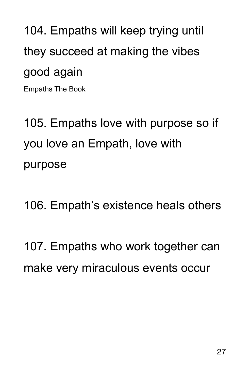104. Empaths will keep trying until they succeed at making the vibes good again Empaths The Book

105. Empaths love with purpose so if you love an Empath, love with purpose

106. Empath's existence heals others

107. Empaths who work together can make very miraculous events occur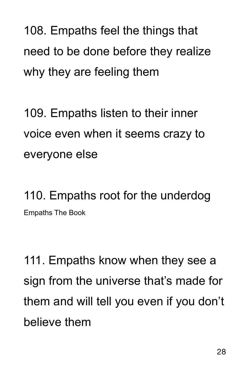108. Empaths feel the things that need to be done before they realize why they are feeling them

109. Empaths listen to their inner voice even when it seems crazy to everyone else

110. Empaths root for the underdog Empaths The Book

111. Empaths know when they see a sign from the universe that's made for them and will tell you even if you don't believe them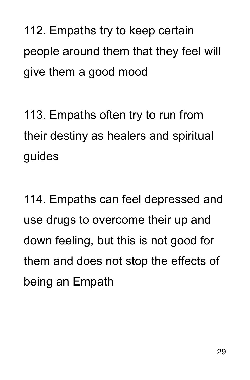112. Empaths try to keep certain people around them that they feel will give them a good mood

113. Empaths often try to run from their destiny as healers and spiritual guides

114. Empaths can feel depressed and use drugs to overcome their up and down feeling, but this is not good for them and does not stop the effects of being an Empath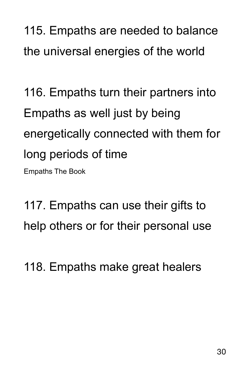115. Empaths are needed to balance the universal energies of the world

116. Empaths turn their partners into Empaths as well just by being energetically connected with them for long periods of time Empaths The Book

117. Empaths can use their gifts to help others or for their personal use

118. Empaths make great healers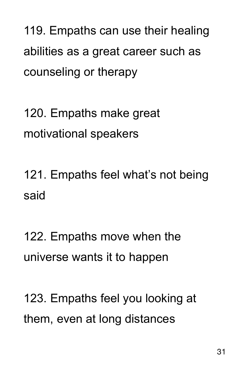119. Empaths can use their healing abilities as a great career such as counseling or therapy

120. Empaths make great motivational speakers

121. Empaths feel what's not being said

122. Empaths move when the universe wants it to happen

123. Empaths feel you looking at them, even at long distances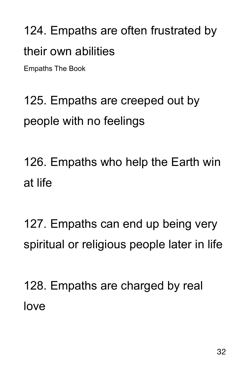124. Empaths are often frustrated by their own abilities

Empaths The Book

## 125. Empaths are creeped out by people with no feelings

126. Empaths who help the Earth win at life

127. Empaths can end up being very spiritual or religious people later in life

128. Empaths are charged by real love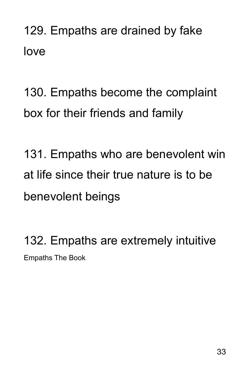129. Empaths are drained by fake love

130. Empaths become the complaint box for their friends and family

131. Empaths who are benevolent win at life since their true nature is to be benevolent beings

132. Empaths are extremely intuitive Empaths The Book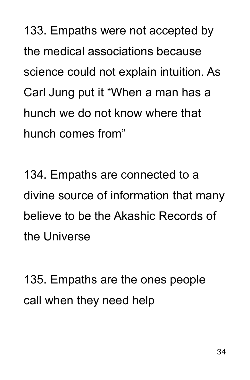133. Empaths were not accepted by the medical associations because science could not explain intuition. As Carl Jung put it "When a man has a hunch we do not know where that hunch comes from"

134. Empaths are connected to a divine source of information that many believe to be the Akashic Records of the Universe

135. Empaths are the ones people call when they need help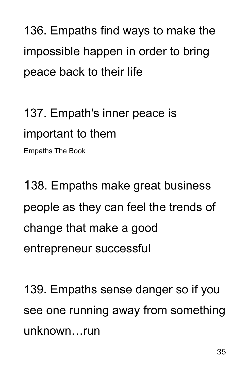136. Empaths find ways to make the impossible happen in order to bring peace back to their life

137. Empath's inner peace is important to them

Empaths The Book

138. Empaths make great business people as they can feel the trends of change that make a good entrepreneur successful

139. Empaths sense danger so if you see one running away from something unknown…run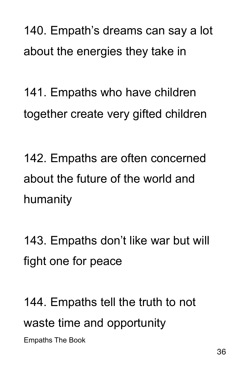140. Empath's dreams can say a lot about the energies they take in

141. Empaths who have children together create very gifted children

142. Empaths are often concerned about the future of the world and humanity

143. Empaths don't like war but will fight one for peace

144. Empaths tell the truth to not waste time and opportunity Empaths The Book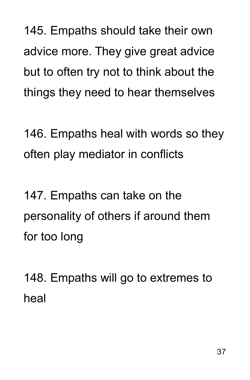145. Empaths should take their own advice more. They give great advice but to often try not to think about the things they need to hear themselves

146. Empaths heal with words so they often play mediator in conflicts

147. Empaths can take on the personality of others if around them for too long

148. Empaths will go to extremes to heal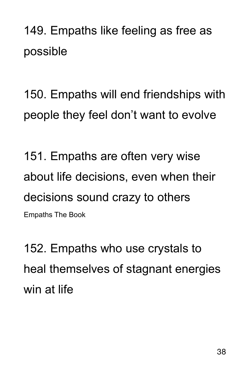149. Empaths like feeling as free as possible

150. Empaths will end friendships with people they feel don't want to evolve

151. Empaths are often very wise about life decisions, even when their decisions sound crazy to others Empaths The Book

152. Empaths who use crystals to heal themselves of stagnant energies win at life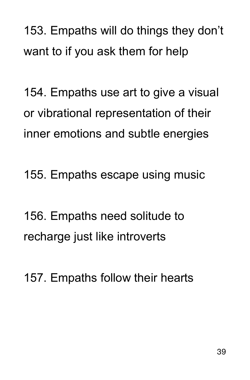153. Empaths will do things they don't want to if you ask them for help

154. Empaths use art to give a visual or vibrational representation of their inner emotions and subtle energies

155. Empaths escape using music

156. Empaths need solitude to recharge just like introverts

157. Empaths follow their hearts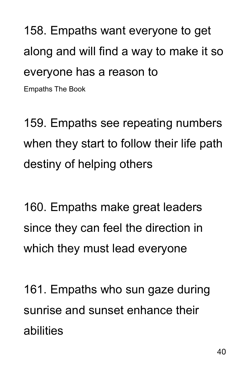158. Empaths want everyone to get along and will find a way to make it so everyone has a reason to Empaths The Book

159. Empaths see repeating numbers when they start to follow their life path destiny of helping others

160. Empaths make great leaders since they can feel the direction in which they must lead everyone

161. Empaths who sun gaze during sunrise and sunset enhance their abilities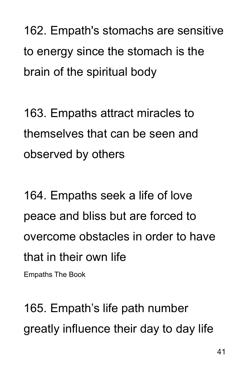162. Empath's stomachs are sensitive to energy since the stomach is the brain of the spiritual body

163. Empaths attract miracles to themselves that can be seen and observed by others

164. Empaths seek a life of love peace and bliss but are forced to overcome obstacles in order to have that in their own life

Empaths The Book

165. Empath's life path number greatly influence their day to day life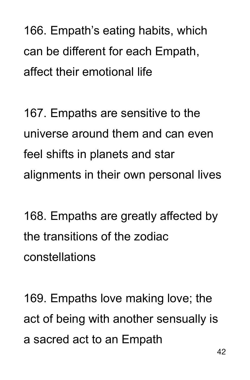166. Empath's eating habits, which can be different for each Empath, affect their emotional life

167. Empaths are sensitive to the universe around them and can even feel shifts in planets and star alignments in their own personal lives

168. Empaths are greatly affected by the transitions of the zodiac constellations

169. Empaths love making love; the act of being with another sensually is a sacred act to an Empath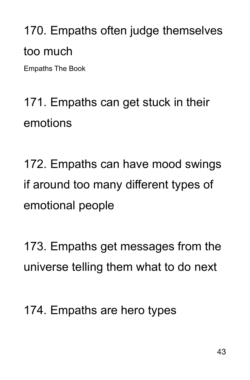170. Empaths often judge themselves too much

Empaths The Book

171. Empaths can get stuck in their emotions

172. Empaths can have mood swings if around too many different types of emotional people

173. Empaths get messages from the universe telling them what to do next

174. Empaths are hero types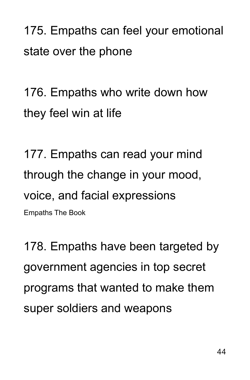175. Empaths can feel your emotional state over the phone

176. Empaths who write down how they feel win at life

177. Empaths can read your mind through the change in your mood, voice, and facial expressions Empaths The Book

178. Empaths have been targeted by government agencies in top secret programs that wanted to make them super soldiers and weapons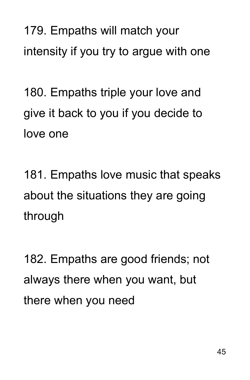179. Empaths will match your intensity if you try to argue with one

180. Empaths triple your love and give it back to you if you decide to love one

181. Empaths love music that speaks about the situations they are going through

182. Empaths are good friends; not always there when you want, but there when you need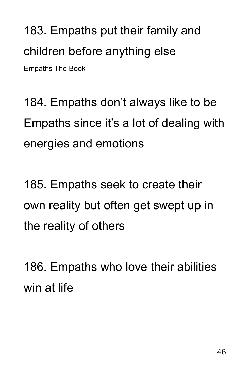183. Empaths put their family and children before anything else Empaths The Book

184. Empaths don't always like to be Empaths since it's a lot of dealing with energies and emotions

185. Empaths seek to create their own reality but often get swept up in the reality of others

186. Empaths who love their abilities win at life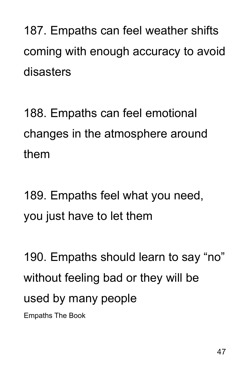187. Empaths can feel weather shifts coming with enough accuracy to avoid disasters

188. Empaths can feel emotional changes in the atmosphere around them

189. Empaths feel what you need, you just have to let them

190. Empaths should learn to say "no" without feeling bad or they will be used by many people Empaths The Book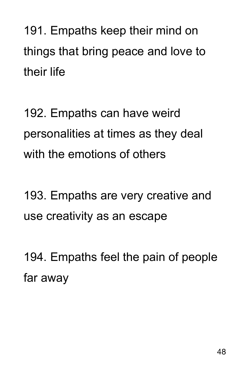191. Empaths keep their mind on things that bring peace and love to their life

192. Empaths can have weird personalities at times as they deal with the emotions of others

193. Empaths are very creative and use creativity as an escape

194. Empaths feel the pain of people far away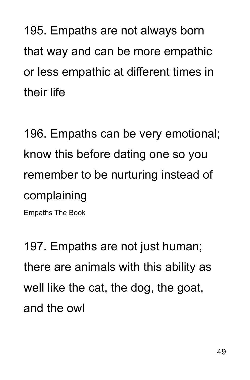195. Empaths are not always born that way and can be more empathic or less empathic at different times in their life

196. Empaths can be very emotional; know this before dating one so you remember to be nurturing instead of complaining

Empaths The Book

197. Empaths are not just human; there are animals with this ability as well like the cat, the dog, the goat, and the owl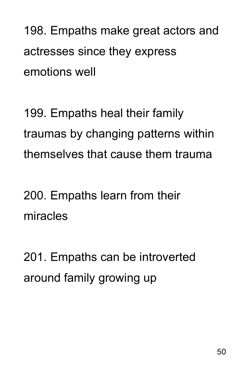198. Empaths make great actors and actresses since they express emotions well

199. Empaths heal their family traumas by changing patterns within themselves that cause them trauma

200. Empaths learn from their miracles

201. Empaths can be introverted around family growing up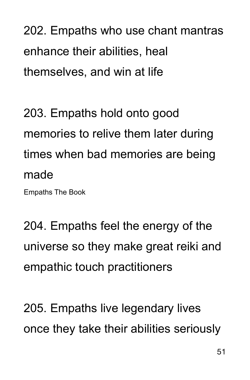202. Empaths who use chant mantras enhance their abilities, heal themselves, and win at life

203. Empaths hold onto good memories to relive them later during times when bad memories are being made

Empaths The Book

204. Empaths feel the energy of the universe so they make great reiki and empathic touch practitioners

205. Empaths live legendary lives once they take their abilities seriously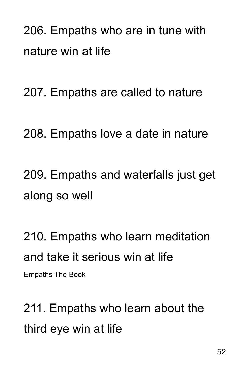206. Empaths who are in tune with nature win at life

207. Empaths are called to nature

208. Empaths love a date in nature

209. Empaths and waterfalls just get along so well

210. Empaths who learn meditation and take it serious win at life Empaths The Book

211. Empaths who learn about the third eye win at life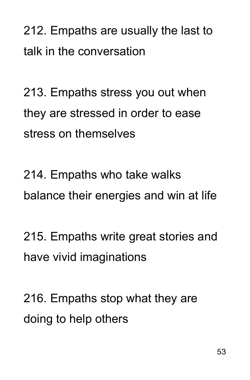212. Empaths are usually the last to talk in the conversation

213. Empaths stress you out when they are stressed in order to ease stress on themselves

214. Empaths who take walks balance their energies and win at life

215. Empaths write great stories and have vivid imaginations

216. Empaths stop what they are doing to help others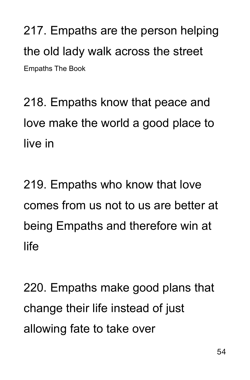217. Empaths are the person helping the old lady walk across the street Empaths The Book

218. Empaths know that peace and love make the world a good place to live in

219. Empaths who know that love comes from us not to us are better at being Empaths and therefore win at life

220. Empaths make good plans that change their life instead of just allowing fate to take over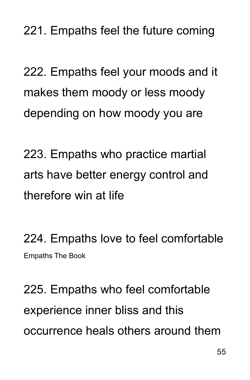221. Empaths feel the future coming

222. Empaths feel your moods and it makes them moody or less moody depending on how moody you are

223. Empaths who practice martial arts have better energy control and therefore win at life

224. Empaths love to feel comfortable Empaths The Book

225. Empaths who feel comfortable experience inner bliss and this occurrence heals others around them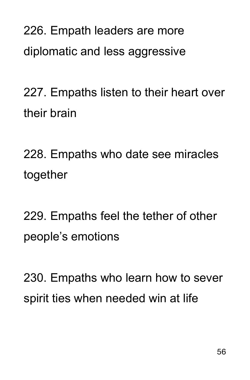226. Empath leaders are more diplomatic and less aggressive

227. Empaths listen to their heart over their brain

228. Empaths who date see miracles together

229. Empaths feel the tether of other people's emotions

230. Empaths who learn how to sever spirit ties when needed win at life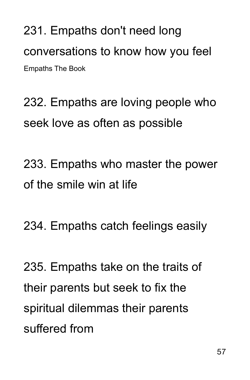231. Empaths don't need long conversations to know how you feel Empaths The Book

232. Empaths are loving people who seek love as often as possible

233. Empaths who master the power of the smile win at life

234. Empaths catch feelings easily

235. Empaths take on the traits of their parents but seek to fix the spiritual dilemmas their parents suffered from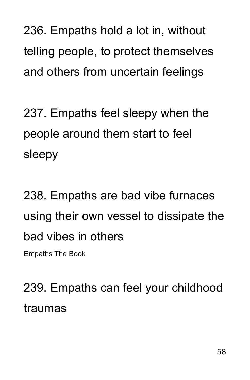236. Empaths hold a lot in, without telling people, to protect themselves and others from uncertain feelings

237. Empaths feel sleepy when the people around them start to feel sleepy

238. Empaths are bad vibe furnaces using their own vessel to dissipate the bad vibes in others

Empaths The Book

239. Empaths can feel your childhood traumas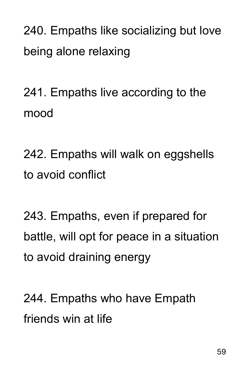240. Empaths like socializing but love being alone relaxing

241. Empaths live according to the mood

242. Empaths will walk on eggshells to avoid conflict

243. Empaths, even if prepared for battle, will opt for peace in a situation to avoid draining energy

244. Empaths who have Empath friends win at life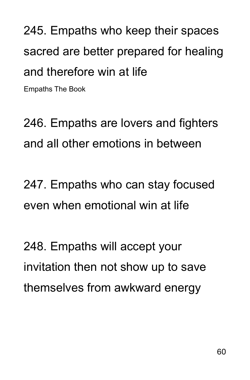245. Empaths who keep their spaces sacred are better prepared for healing and therefore win at life Empaths The Book

246. Empaths are lovers and fighters and all other emotions in between

247. Empaths who can stay focused even when emotional win at life

248. Empaths will accept your invitation then not show up to save themselves from awkward energy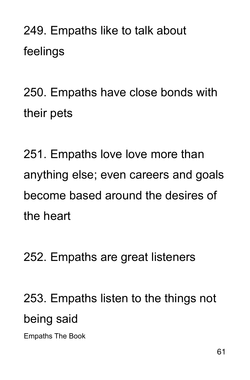249. Empaths like to talk about feelings

250. Empaths have close bonds with their pets

251. Empaths love love more than anything else; even careers and goals become based around the desires of the heart

252. Empaths are great listeners

253. Empaths listen to the things not being said

Empaths The Book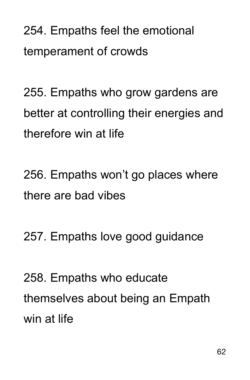254. Empaths feel the emotional temperament of crowds

255. Empaths who grow gardens are better at controlling their energies and therefore win at life

256. Empaths won't go places where there are bad vibes

257. Empaths love good guidance

258. Empaths who educate themselves about being an Empath win at life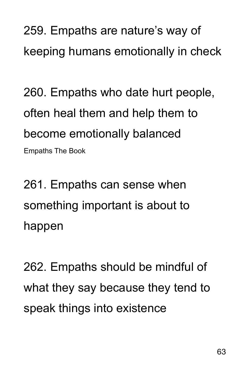259. Empaths are nature's way of keeping humans emotionally in check

260. Empaths who date hurt people, often heal them and help them to become emotionally balanced Empaths The Book

261. Empaths can sense when something important is about to happen

262. Empaths should be mindful of what they say because they tend to speak things into existence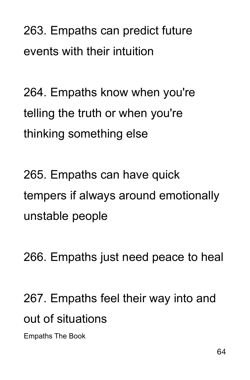263. Empaths can predict future events with their intuition

264. Empaths know when you're telling the truth or when you're thinking something else

265. Empaths can have quick tempers if always around emotionally unstable people

266. Empaths just need peace to heal

267. Empaths feel their way into and out of situations

Empaths The Book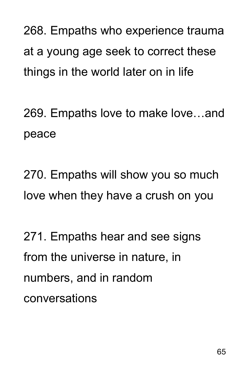268. Empaths who experience trauma at a young age seek to correct these things in the world later on in life

269. Empaths love to make love…and peace

270. Empaths will show you so much love when they have a crush on you

271. Empaths hear and see signs from the universe in nature, in numbers, and in random conversations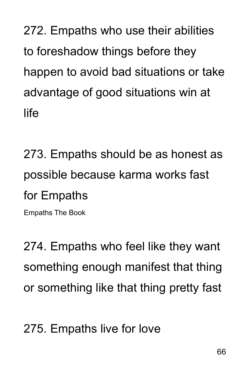272. Empaths who use their abilities to foreshadow things before they happen to avoid bad situations or take advantage of good situations win at life

273. Empaths should be as honest as possible because karma works fast for Empaths

Empaths The Book

274. Empaths who feel like they want something enough manifest that thing or something like that thing pretty fast

275. Empaths live for love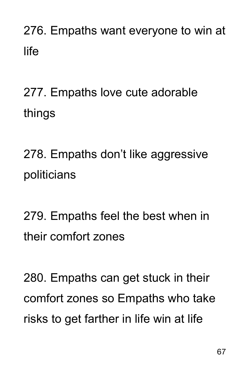### 276. Empaths want everyone to win at life

# 277. Empaths love cute adorable things

278. Empaths don't like aggressive politicians

279. Empaths feel the best when in their comfort zones

280. Empaths can get stuck in their comfort zones so Empaths who take risks to get farther in life win at life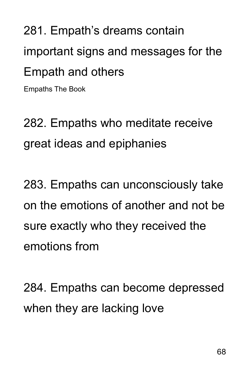281. Empath's dreams contain important signs and messages for the Empath and others Empaths The Book

282. Empaths who meditate receive great ideas and epiphanies

283. Empaths can unconsciously take on the emotions of another and not be sure exactly who they received the emotions from

284. Empaths can become depressed when they are lacking love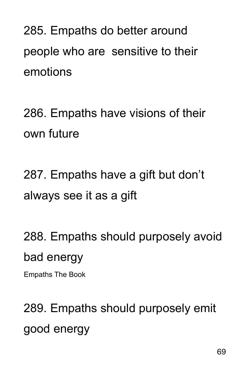285. Empaths do better around people who are sensitive to their emotions

286. Empaths have visions of their own future

287. Empaths have a gift but don't always see it as a gift

288. Empaths should purposely avoid bad energy Empaths The Book

289. Empaths should purposely emit good energy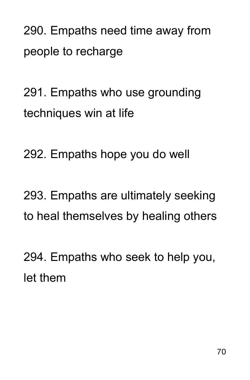290. Empaths need time away from people to recharge

291. Empaths who use grounding techniques win at life

292. Empaths hope you do well

293. Empaths are ultimately seeking to heal themselves by healing others

294. Empaths who seek to help you, let them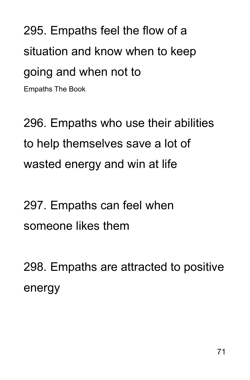295. Empaths feel the flow of a situation and know when to keep going and when not to Empaths The Book

296. Empaths who use their abilities to help themselves save a lot of wasted energy and win at life

297. Empaths can feel when someone likes them

298. Empaths are attracted to positive energy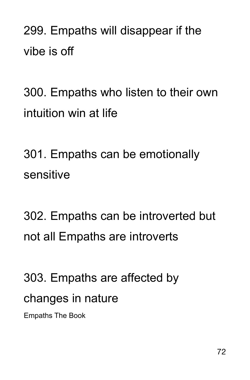299. Empaths will disappear if the vibe is off

300. Empaths who listen to their own intuition win at life

301. Empaths can be emotionally sensitive

302. Empaths can be introverted but not all Empaths are introverts

303. Empaths are affected by changes in nature

Empaths The Book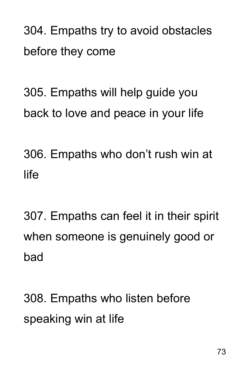304. Empaths try to avoid obstacles before they come

305. Empaths will help guide you back to love and peace in your life

306. Empaths who don't rush win at life

307. Empaths can feel it in their spirit when someone is genuinely good or bad

308. Empaths who listen before speaking win at life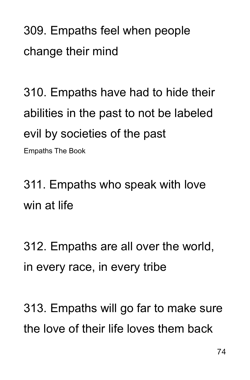309. Empaths feel when people change their mind

310. Empaths have had to hide their abilities in the past to not be labeled evil by societies of the past Empaths The Book

311. Empaths who speak with love win at life

312. Empaths are all over the world, in every race, in every tribe

313. Empaths will go far to make sure the love of their life loves them back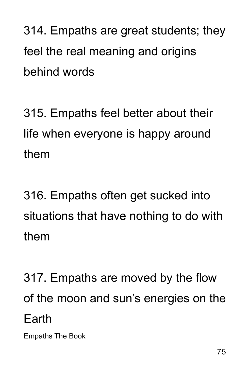314. Empaths are great students; they feel the real meaning and origins behind words

315. Empaths feel better about their life when everyone is happy around them

316. Empaths often get sucked into situations that have nothing to do with them

317. Empaths are moved by the flow of the moon and sun's energies on the Earth

Empaths The Book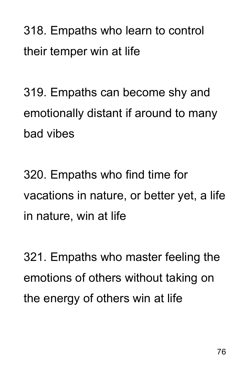318. Empaths who learn to control their temper win at life

319. Empaths can become shy and emotionally distant if around to many bad vibes

320. Empaths who find time for vacations in nature, or better yet, a life in nature, win at life

321. Empaths who master feeling the emotions of others without taking on the energy of others win at life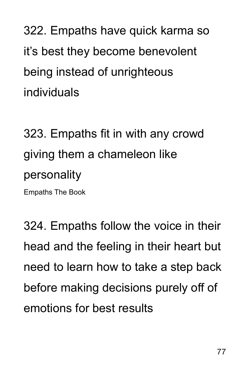322. Empaths have quick karma so it's best they become benevolent being instead of unrighteous individuals

323. Empaths fit in with any crowd giving them a chameleon like personality Empaths The Book

324. Empaths follow the voice in their head and the feeling in their heart but need to learn how to take a step back before making decisions purely off of emotions for best results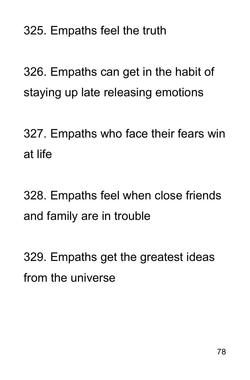325. Empaths feel the truth

326. Empaths can get in the habit of staying up late releasing emotions

327. Empaths who face their fears win at life

328. Empaths feel when close friends and family are in trouble

329. Empaths get the greatest ideas from the universe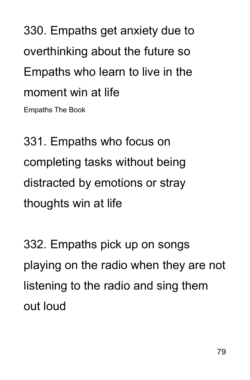330. Empaths get anxiety due to overthinking about the future so Empaths who learn to live in the moment win at life

Empaths The Book

331. Empaths who focus on completing tasks without being distracted by emotions or stray thoughts win at life

332. Empaths pick up on songs playing on the radio when they are not listening to the radio and sing them out loud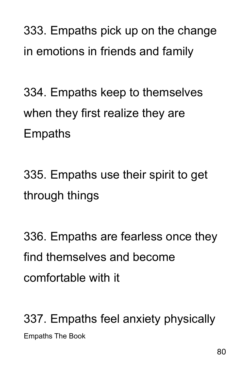333. Empaths pick up on the change in emotions in friends and family

334. Empaths keep to themselves when they first realize they are Empaths

335. Empaths use their spirit to get through things

336. Empaths are fearless once they find themselves and become comfortable with it

337. Empaths feel anxiety physically Empaths The Book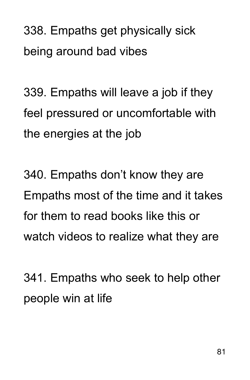338. Empaths get physically sick being around bad vibes

339. Empaths will leave a job if they feel pressured or uncomfortable with the energies at the job

340. Empaths don't know they are Empaths most of the time and it takes for them to read books like this or watch videos to realize what they are

341. Empaths who seek to help other people win at life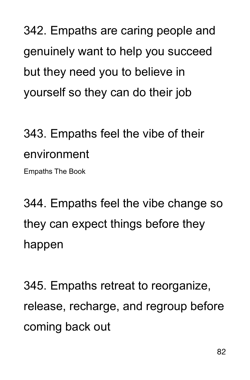342. Empaths are caring people and genuinely want to help you succeed but they need you to believe in yourself so they can do their job

# 343. Empaths feel the vibe of their environment

Empaths The Book

344. Empaths feel the vibe change so they can expect things before they happen

345. Empaths retreat to reorganize, release, recharge, and regroup before coming back out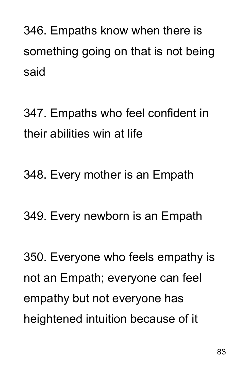346. Empaths know when there is something going on that is not being said

347. Empaths who feel confident in their abilities win at life

348. Every mother is an Empath

349. Every newborn is an Empath

350. Everyone who feels empathy is not an Empath; everyone can feel empathy but not everyone has heightened intuition because of it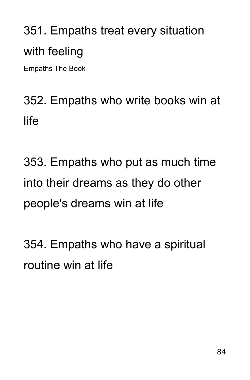# 351. Empaths treat every situation with feeling

Empaths The Book

### 352. Empaths who write books win at life

353. Empaths who put as much time into their dreams as they do other people's dreams win at life

354. Empaths who have a spiritual routine win at life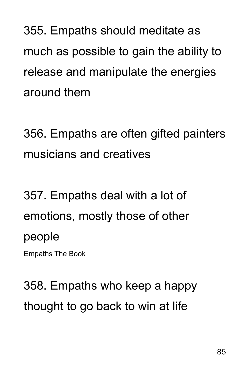355. Empaths should meditate as much as possible to gain the ability to release and manipulate the energies around them

356. Empaths are often gifted painters musicians and creatives

357. Empaths deal with a lot of emotions, mostly those of other people

Empaths The Book

358. Empaths who keep a happy thought to go back to win at life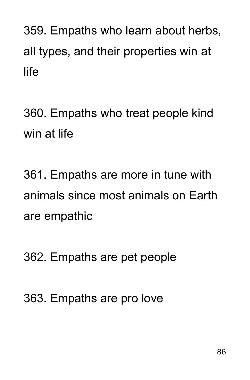359. Empaths who learn about herbs, all types, and their properties win at life

360. Empaths who treat people kind win at life

361. Empaths are more in tune with animals since most animals on Earth are empathic

362. Empaths are pet people

363. Empaths are pro love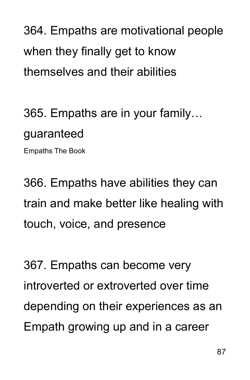364. Empaths are motivational people when they finally get to know themselves and their abilities

365. Empaths are in your family… guaranteed Empaths The Book

366. Empaths have abilities they can train and make better like healing with touch, voice, and presence

367. Empaths can become very introverted or extroverted over time depending on their experiences as an Empath growing up and in a career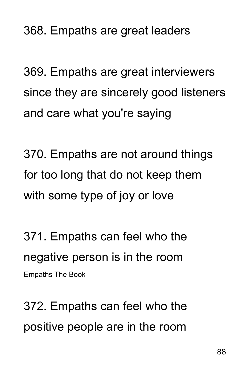368. Empaths are great leaders

369. Empaths are great interviewers since they are sincerely good listeners and care what you're saying

370. Empaths are not around things for too long that do not keep them with some type of joy or love

371. Empaths can feel who the negative person is in the room Empaths The Book

372. Empaths can feel who the positive people are in the room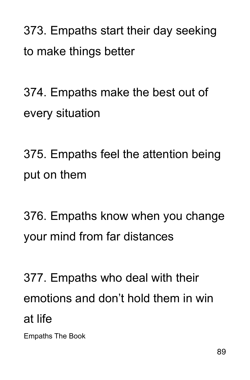373. Empaths start their day seeking to make things better

374. Empaths make the best out of every situation

375. Empaths feel the attention being put on them

376. Empaths know when you change your mind from far distances

377. Empaths who deal with their emotions and don't hold them in win at life

Empaths The Book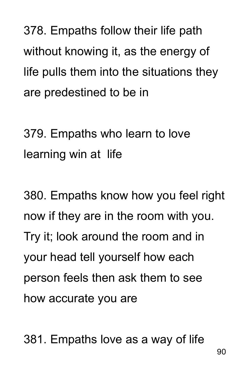378. Empaths follow their life path without knowing it, as the energy of life pulls them into the situations they are predestined to be in

379. Empaths who learn to love learning win at life

380. Empaths know how you feel right now if they are in the room with you. Try it; look around the room and in your head tell yourself how each person feels then ask them to see how accurate you are

381. Empaths love as a way of life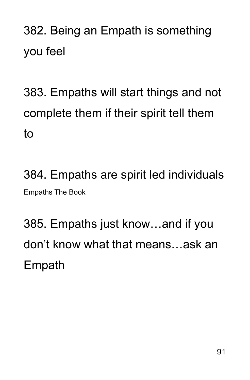382. Being an Empath is something you feel

383. Empaths will start things and not complete them if their spirit tell them to

384. Empaths are spirit led individuals Empaths The Book

385. Empaths just know…and if you don't know what that means…ask an Empath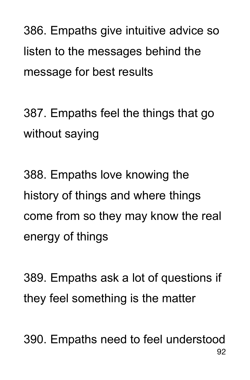386. Empaths give intuitive advice so listen to the messages behind the message for best results

387. Empaths feel the things that go without saying

388. Empaths love knowing the history of things and where things come from so they may know the real energy of things

389. Empaths ask a lot of questions if they feel something is the matter

390. Empaths need to feel understood 92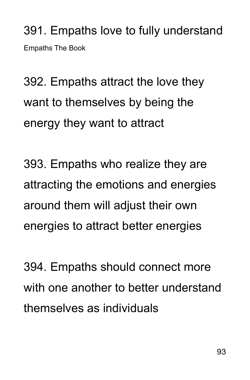391. Empaths love to fully understand Empaths The Book

392. Empaths attract the love they want to themselves by being the energy they want to attract

393. Empaths who realize they are attracting the emotions and energies around them will adjust their own energies to attract better energies

394. Empaths should connect more with one another to better understand themselves as individuals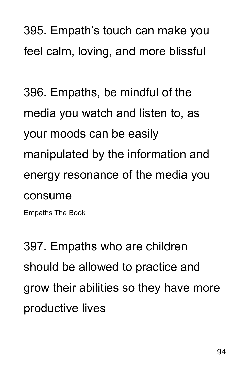395. Empath's touch can make you feel calm, loving, and more blissful

396. Empaths, be mindful of the media you watch and listen to, as your moods can be easily manipulated by the information and energy resonance of the media you consume

Empaths The Book

397. Empaths who are children should be allowed to practice and grow their abilities so they have more productive lives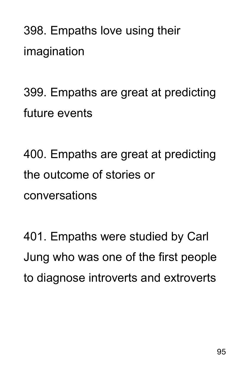398. Empaths love using their imagination

399. Empaths are great at predicting future events

400. Empaths are great at predicting the outcome of stories or conversations

401. Empaths were studied by Carl Jung who was one of the first people to diagnose introverts and extroverts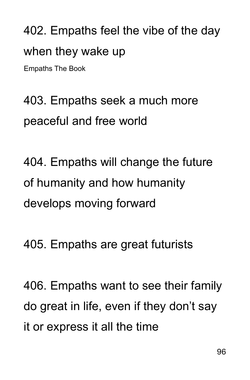402. Empaths feel the vibe of the day when they wake up

Empaths The Book

403. Empaths seek a much more peaceful and free world

404. Empaths will change the future of humanity and how humanity develops moving forward

405. Empaths are great futurists

406. Empaths want to see their family do great in life, even if they don't say it or express it all the time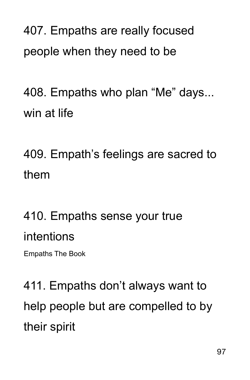407. Empaths are really focused people when they need to be

408. Empaths who plan "Me" days... win at life

409. Empath's feelings are sacred to them

### 410. Empaths sense your true intentions

Empaths The Book

411. Empaths don't always want to help people but are compelled to by their spirit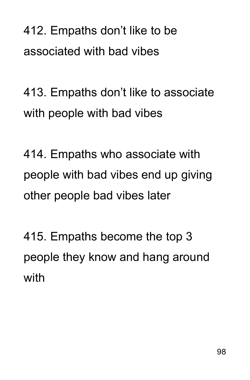412. Empaths don't like to be associated with bad vibes

413. Empaths don't like to associate with people with bad vibes

414. Empaths who associate with people with bad vibes end up giving other people bad vibes later

415. Empaths become the top 3 people they know and hang around with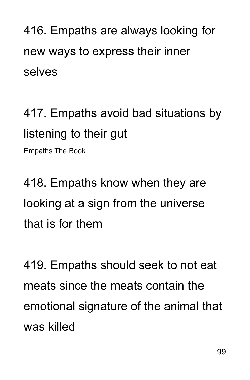416. Empaths are always looking for new ways to express their inner selves

417. Empaths avoid bad situations by listening to their gut

Empaths The Book

418. Empaths know when they are looking at a sign from the universe that is for them

419. Empaths should seek to not eat meats since the meats contain the emotional signature of the animal that was killed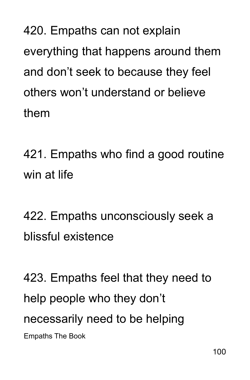420. Empaths can not explain everything that happens around them and don't seek to because they feel others won't understand or believe them

421. Empaths who find a good routine win at life

422. Empaths unconsciously seek a blissful existence

423. Empaths feel that they need to help people who they don't necessarily need to be helping Empaths The Book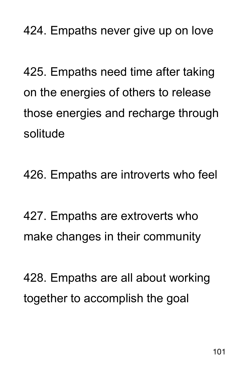424. Empaths never give up on love

425. Empaths need time after taking on the energies of others to release those energies and recharge through solitude

426. Empaths are introverts who feel

427. Empaths are extroverts who make changes in their community

428. Empaths are all about working together to accomplish the goal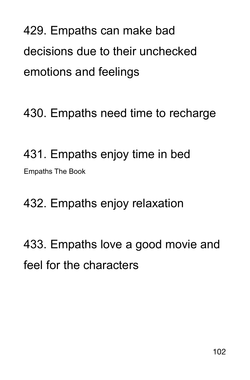429. Empaths can make bad decisions due to their unchecked emotions and feelings

430. Empaths need time to recharge

431. Empaths enjoy time in bed Empaths The Book

432. Empaths enjoy relaxation

433. Empaths love a good movie and feel for the characters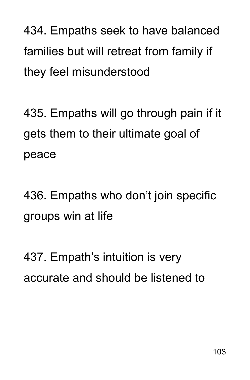434. Empaths seek to have balanced families but will retreat from family if they feel misunderstood

435. Empaths will go through pain if it gets them to their ultimate goal of peace

436. Empaths who don't join specific groups win at life

437. Empath's intuition is very accurate and should be listened to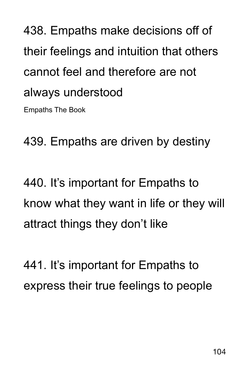## 438. Empaths make decisions off of their feelings and intuition that others cannot feel and therefore are not always understood Empaths The Book

439. Empaths are driven by destiny

440. It's important for Empaths to know what they want in life or they will attract things they don't like

441. It's important for Empaths to express their true feelings to people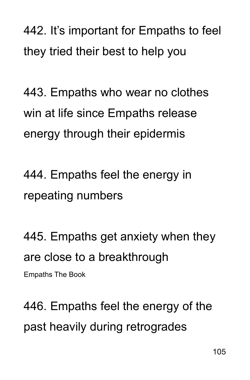442. It's important for Empaths to feel they tried their best to help you

443. Empaths who wear no clothes win at life since Empaths release energy through their epidermis

444. Empaths feel the energy in repeating numbers

445. Empaths get anxiety when they are close to a breakthrough Empaths The Book

446. Empaths feel the energy of the past heavily during retrogrades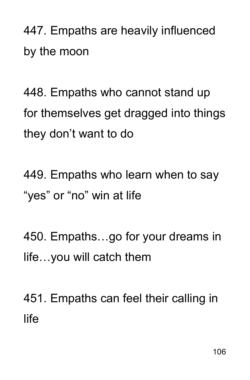447. Empaths are heavily influenced by the moon

448. Empaths who cannot stand up for themselves get dragged into things they don't want to do

449. Empaths who learn when to say "yes" or "no" win at life

450. Empaths…go for your dreams in life…you will catch them

451. Empaths can feel their calling in life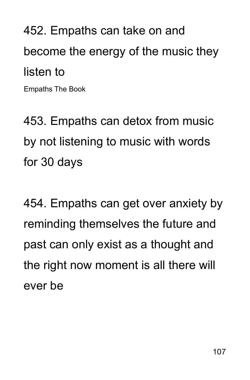452. Empaths can take on and become the energy of the music they listen to

Empaths The Book

453. Empaths can detox from music by not listening to music with words for 30 days

454. Empaths can get over anxiety by reminding themselves the future and past can only exist as a thought and the right now moment is all there will ever be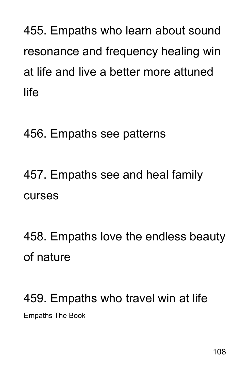455. Empaths who learn about sound resonance and frequency healing win at life and live a better more attuned life

#### 456. Empaths see patterns

## 457. Empaths see and heal family curses

458. Empaths love the endless beauty of nature

### 459. Empaths who travel win at life Empaths The Book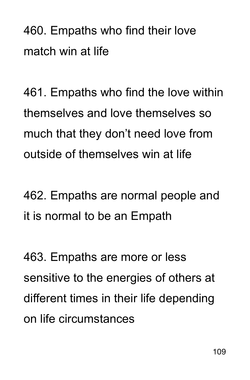460. Empaths who find their love match win at life

461. Empaths who find the love within themselves and love themselves so much that they don't need love from outside of themselves win at life

462. Empaths are normal people and it is normal to be an Empath

463. Empaths are more or less sensitive to the energies of others at different times in their life depending on life circumstances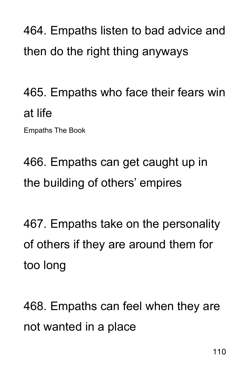464. Empaths listen to bad advice and then do the right thing anyways

465. Empaths who face their fears win at life

Empaths The Book

466. Empaths can get caught up in the building of others' empires

467. Empaths take on the personality of others if they are around them for too long

468. Empaths can feel when they are not wanted in a place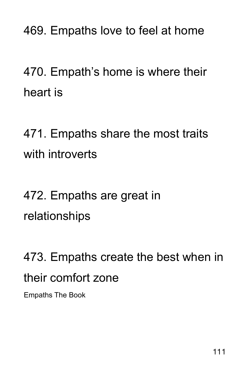469. Empaths love to feel at home

470. Empath's home is where their heart is

471. Empaths share the most traits with introverts

472. Empaths are great in relationships

473. Empaths create the best when in their comfort zone

Empaths The Book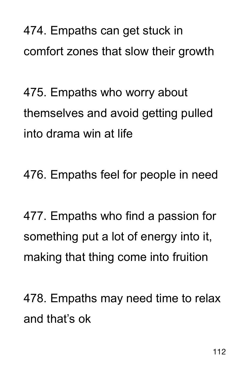474. Empaths can get stuck in comfort zones that slow their growth

475. Empaths who worry about themselves and avoid getting pulled into drama win at life

476. Empaths feel for people in need

477. Empaths who find a passion for something put a lot of energy into it, making that thing come into fruition

478. Empaths may need time to relax and that's ok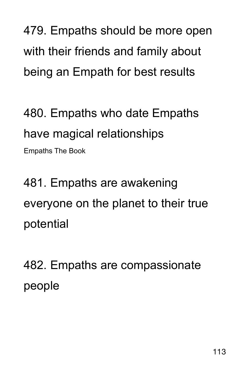479. Empaths should be more open with their friends and family about being an Empath for best results

480. Empaths who date Empaths have magical relationships Empaths The Book

481. Empaths are awakening everyone on the planet to their true potential

482. Empaths are compassionate people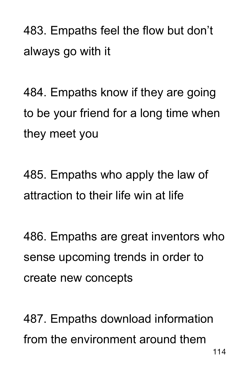483. Empaths feel the flow but don't always go with it

484. Empaths know if they are going to be your friend for a long time when they meet you

485. Empaths who apply the law of attraction to their life win at life

486. Empaths are great inventors who sense upcoming trends in order to create new concepts

487. Empaths download information from the environment around them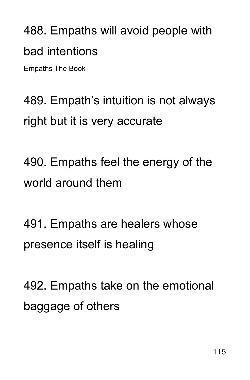# 488. Empaths will avoid people with bad intentions

Empaths The Book

489. Empath's intuition is not always right but it is very accurate

490. Empaths feel the energy of the world around them

491. Empaths are healers whose presence itself is healing

492. Empaths take on the emotional baggage of others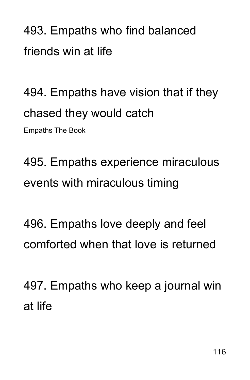493. Empaths who find balanced friends win at life

494. Empaths have vision that if they chased they would catch Empaths The Book

495. Empaths experience miraculous events with miraculous timing

496. Empaths love deeply and feel comforted when that love is returned

497. Empaths who keep a journal win at life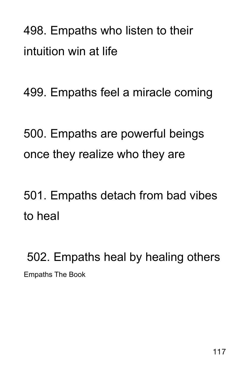498. Empaths who listen to their intuition win at life

499. Empaths feel a miracle coming

500. Empaths are powerful beings once they realize who they are

501. Empaths detach from bad vibes to heal

 502. Empaths heal by healing others Empaths The Book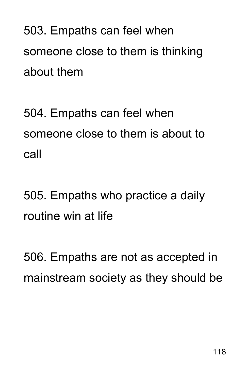503. Empaths can feel when someone close to them is thinking about them

504. Empaths can feel when someone close to them is about to call

505. Empaths who practice a daily routine win at life

506. Empaths are not as accepted in mainstream society as they should be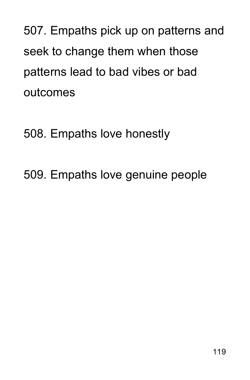507. Empaths pick up on patterns and seek to change them when those patterns lead to bad vibes or bad outcomes

508. Empaths love honestly

509. Empaths love genuine people